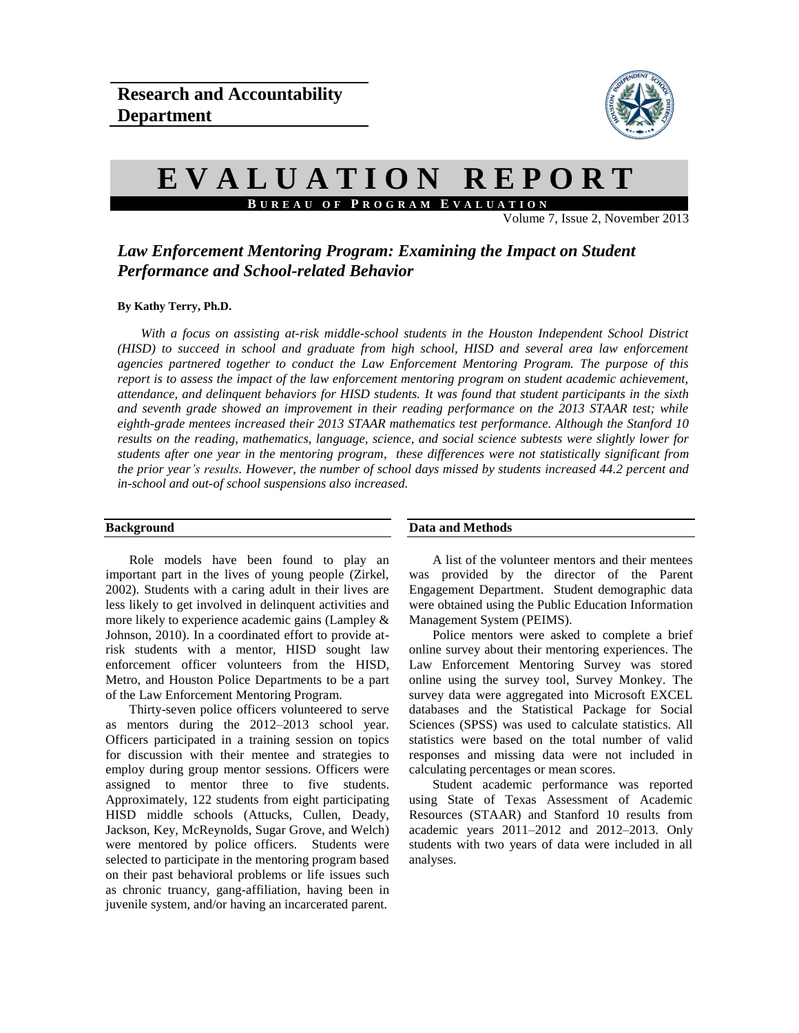

# **E V A L U A T I O N R E P O R T B U R E A U O F P R O G R A M E V A L U A T I O N**

Volume 7, Issue 2, November 2013

# *Law Enforcement Mentoring Program: Examining the Impact on Student Performance and School-related Behavior*

# **By Kathy Terry, Ph.D.**

*With a focus on assisting at-risk middle-school students in the Houston Independent School District (HISD) to succeed in school and graduate from high school, HISD and several area law enforcement agencies partnered together to conduct the Law Enforcement Mentoring Program. The purpose of this report is to assess the impact of the law enforcement mentoring program on student academic achievement, attendance, and delinquent behaviors for HISD students. It was found that student participants in the sixth and seventh grade showed an improvement in their reading performance on the 2013 STAAR test; while eighth-grade mentees increased their 2013 STAAR mathematics test performance. Although the Stanford 10 results on the reading, mathematics, language, science, and social science subtests were slightly lower for students after one year in the mentoring program, these differences were not statistically significant from the prior year's results. However, the number of school days missed by students increased 44.2 percent and in-school and out-of school suspensions also increased.*

### **Background**

Role models have been found to play an important part in the lives of young people (Zirkel, 2002). Students with a caring adult in their lives are less likely to get involved in delinquent activities and more likely to experience academic gains (Lampley & Johnson, 2010). In a coordinated effort to provide atrisk students with a mentor, HISD sought law enforcement officer volunteers from the HISD, Metro, and Houston Police Departments to be a part of the Law Enforcement Mentoring Program.

Thirty-seven police officers volunteered to serve as mentors during the 2012–2013 school year. Officers participated in a training session on topics for discussion with their mentee and strategies to employ during group mentor sessions. Officers were assigned to mentor three to five students. Approximately, 122 students from eight participating HISD middle schools (Attucks, Cullen, Deady, Jackson, Key, McReynolds, Sugar Grove, and Welch) were mentored by police officers. Students were selected to participate in the mentoring program based on their past behavioral problems or life issues such as chronic truancy, gang-affiliation, having been in juvenile system, and/or having an incarcerated parent.

### **Data and Methods**

A list of the volunteer mentors and their mentees was provided by the director of the Parent Engagement Department. Student demographic data were obtained using the Public Education Information Management System (PEIMS).

Police mentors were asked to complete a brief online survey about their mentoring experiences. The Law Enforcement Mentoring Survey was stored online using the survey tool, Survey Monkey. The survey data were aggregated into Microsoft EXCEL databases and the Statistical Package for Social Sciences (SPSS) was used to calculate statistics. All statistics were based on the total number of valid responses and missing data were not included in calculating percentages or mean scores.

Student academic performance was reported using State of Texas Assessment of Academic Resources (STAAR) and Stanford 10 results from academic years 2011–2012 and 2012–2013. Only students with two years of data were included in all analyses.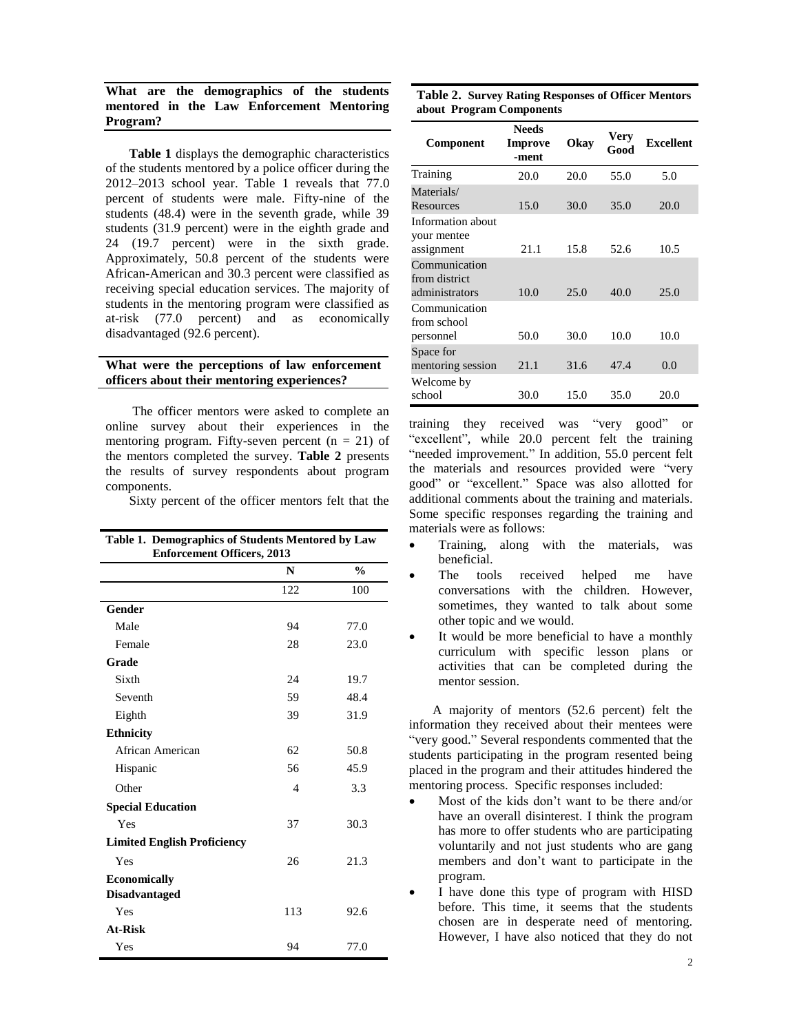**What are the demographics of the students mentored in the Law Enforcement Mentoring Program?**

**Table 1** displays the demographic characteristics of the students mentored by a police officer during the 2012–2013 school year. Table 1 reveals that 77.0 percent of students were male. Fifty-nine of the students (48.4) were in the seventh grade, while 39 students (31.9 percent) were in the eighth grade and 24 (19.7 percent) were in the sixth grade. Approximately, 50.8 percent of the students were African-American and 30.3 percent were classified as receiving special education services. The majority of students in the mentoring program were classified as at-risk (77.0 percent) and as economically disadvantaged (92.6 percent).

# **What were the perceptions of law enforcement officers about their mentoring experiences?**

The officer mentors were asked to complete an online survey about their experiences in the mentoring program. Fifty-seven percent  $(n = 21)$  of the mentors completed the survey. **Table 2** presents the results of survey respondents about program components.

Sixty percent of the officer mentors felt that the

| Table 1. Demographics of Students Mentored by Law<br><b>Enforcement Officers, 2013</b> |     |               |  |  |
|----------------------------------------------------------------------------------------|-----|---------------|--|--|
|                                                                                        | N   | $\frac{0}{0}$ |  |  |
|                                                                                        | 122 | 100           |  |  |
| Gender                                                                                 |     |               |  |  |
| Male                                                                                   | 94  | 77.0          |  |  |
| Female                                                                                 | 28  | 23.0          |  |  |
| Grade                                                                                  |     |               |  |  |
| Sixth                                                                                  | 24  | 19.7          |  |  |
| Seventh                                                                                | 59  | 48.4          |  |  |
| Eighth                                                                                 | 39  | 31.9          |  |  |
| <b>Ethnicity</b>                                                                       |     |               |  |  |
| African American                                                                       | 62  | 50.8          |  |  |
| Hispanic                                                                               | 56  | 45.9          |  |  |
| Other                                                                                  | 4   | 3.3           |  |  |
| <b>Special Education</b>                                                               |     |               |  |  |
| Yes                                                                                    | 37  | 30.3          |  |  |
| <b>Limited English Proficiency</b>                                                     |     |               |  |  |
| Yes                                                                                    | 26  | 21.3          |  |  |
| <b>Economically</b>                                                                    |     |               |  |  |
| <b>Disadvantaged</b>                                                                   |     |               |  |  |
| Yes                                                                                    | 113 | 92.6          |  |  |
| At-Risk                                                                                |     |               |  |  |
| Yes                                                                                    | 94  | 77.0          |  |  |

|  | Table 2. Survey Rating Responses of Officer Mentors |  |
|--|-----------------------------------------------------|--|
|  | about Program Components                            |  |

| Component                                        | <b>Needs</b><br>Improve<br>-ment | Okay | Very<br>Good | <b>Excellent</b> |
|--------------------------------------------------|----------------------------------|------|--------------|------------------|
| Training                                         | 20.0                             | 20.0 | 55.0         | 5.0              |
| Materials/<br>Resources                          | 15.0                             | 30.0 | 35.0         | 20.0             |
| Information about<br>your mentee<br>assignment   | 21.1                             | 15.8 | 52.6         | 10.5             |
| Communication<br>from district<br>administrators | 10.0                             | 25.0 | 40.0         | 25.0             |
| Communication<br>from school<br>personnel        | 50.0                             | 30.0 | 10.0         | 10.0             |
| Space for<br>mentoring session                   | 21.1                             | 31.6 | 47.4         | 0.0              |
| Welcome by<br>school                             | 30.0                             | 15.0 | 35.0         | 20.0             |

training they received was "very good" or "excellent", while 20.0 percent felt the training "needed improvement." In addition, 55.0 percent felt the materials and resources provided were "very good" or "excellent." Space was also allotted for additional comments about the training and materials. Some specific responses regarding the training and materials were as follows:

- Training, along with the materials, was beneficial.
- The tools received helped me have conversations with the children. However, sometimes, they wanted to talk about some other topic and we would.
- It would be more beneficial to have a monthly curriculum with specific lesson plans or activities that can be completed during the mentor session.

A majority of mentors (52.6 percent) felt the information they received about their mentees were "very good." Several respondents commented that the students participating in the program resented being placed in the program and their attitudes hindered the mentoring process. Specific responses included:

- Most of the kids don't want to be there and/or have an overall disinterest. I think the program has more to offer students who are participating voluntarily and not just students who are gang members and don't want to participate in the program.
- I have done this type of program with HISD before. This time, it seems that the students chosen are in desperate need of mentoring. However, I have also noticed that they do not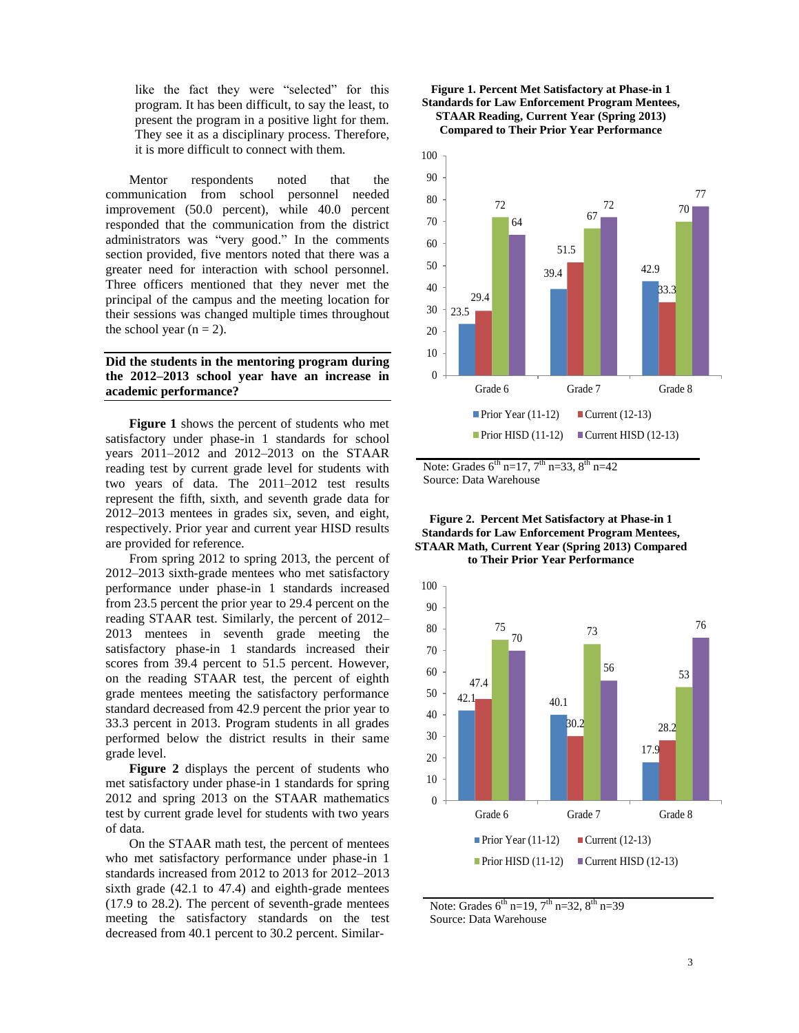like the fact they were "selected" for this program. It has been difficult, to say the least, to present the program in a positive light for them. They see it as a disciplinary process. Therefore, it is more difficult to connect with them.

Mentor respondents noted that the communication from school personnel needed improvement (50.0 percent), while 40.0 percent responded that the communication from the district administrators was "very good." In the comments section provided, five mentors noted that there was a greater need for interaction with school personnel. Three officers mentioned that they never met the principal of the campus and the meeting location for their sessions was changed multiple times throughout the school year  $(n = 2)$ .

# **Did the students in the mentoring program during the 2012–2013 school year have an increase in academic performance?**

**Figure 1** shows the percent of students who met satisfactory under phase-in 1 standards for school years 2011–2012 and 2012–2013 on the STAAR reading test by current grade level for students with two years of data. The 2011–2012 test results represent the fifth, sixth, and seventh grade data for 2012–2013 mentees in grades six, seven, and eight, respectively. Prior year and current year HISD results are provided for reference.

From spring 2012 to spring 2013, the percent of 2012–2013 sixth-grade mentees who met satisfactory performance under phase-in 1 standards increased from 23.5 percent the prior year to 29.4 percent on the reading STAAR test. Similarly, the percent of 2012– 2013 mentees in seventh grade meeting the satisfactory phase-in 1 standards increased their scores from 39.4 percent to 51.5 percent. However, on the reading STAAR test, the percent of eighth grade mentees meeting the satisfactory performance standard decreased from 42.9 percent the prior year to 33.3 percent in 2013. Program students in all grades performed below the district results in their same grade level.

**Figure 2** displays the percent of students who met satisfactory under phase-in 1 standards for spring 2012 and spring 2013 on the STAAR mathematics test by current grade level for students with two years of data.

On the STAAR math test, the percent of mentees who met satisfactory performance under phase-in 1 standards increased from 2012 to 2013 for 2012–2013 sixth grade (42.1 to 47.4) and eighth-grade mentees (17.9 to 28.2). The percent of seventh-grade mentees meeting the satisfactory standards on the test decreased from 40.1 percent to 30.2 percent. Similar-

#### **Figure 1. Percent Met Satisfactory at Phase-in 1 Standards for Law Enforcement Program Mentees, STAAR Reading, Current Year (Spring 2013) Compared to Their Prior Year Performance**



Note: Grades  $6^{\text{th}}$  n=17, 7<sup>th</sup> n=33, 8<sup>th</sup> n=42 Source: Data Warehouse





Note: Grades  $6^{th}$  n=19,  $7^{th}$  n=32,  $8^{th}$  n=39 Source: Data Warehouse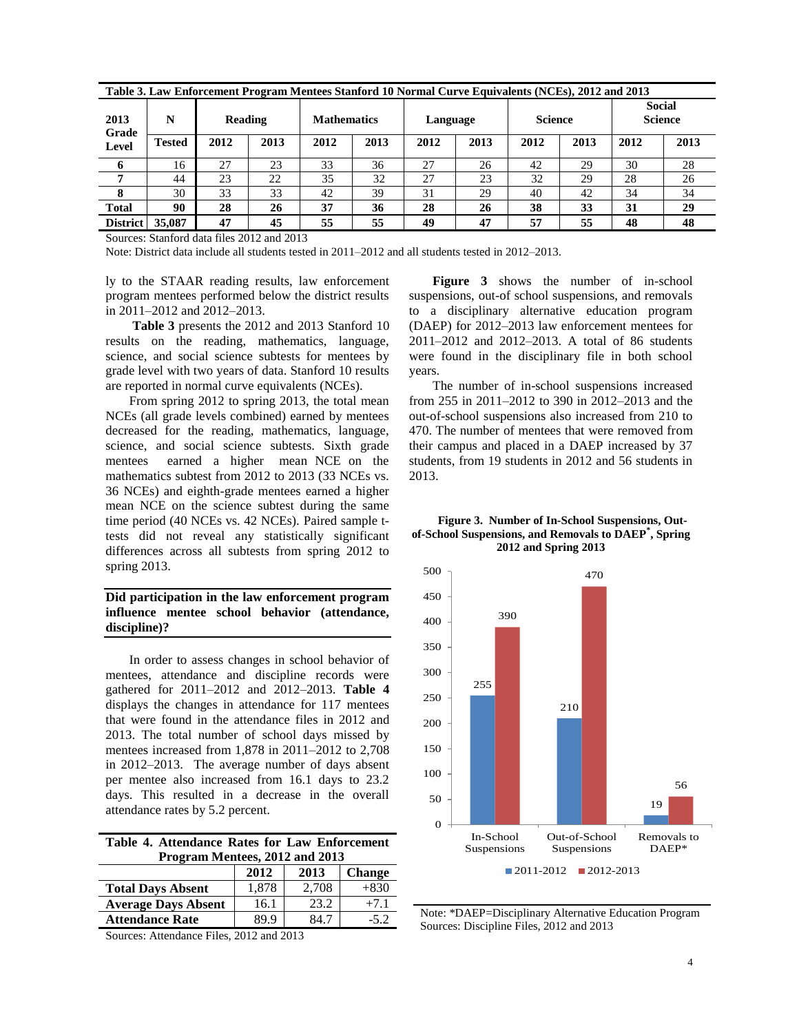| Table 3. Law Enforcement Program Mentees Stanford 10 Normal Curve Equivalents (NCEs), 2012 and 2013 |               |         |      |                    |      |          |      |                |      |                                 |      |
|-----------------------------------------------------------------------------------------------------|---------------|---------|------|--------------------|------|----------|------|----------------|------|---------------------------------|------|
| 2013<br>Grade                                                                                       | N             | Reading |      | <b>Mathematics</b> |      | Language |      | <b>Science</b> |      | <b>Social</b><br><b>Science</b> |      |
| Level                                                                                               | <b>Tested</b> | 2012    | 2013 | 2012               | 2013 | 2012     | 2013 | 2012           | 2013 | 2012                            | 2013 |
| 6                                                                                                   | 16            | 27      | 23   | 33                 | 36   | 27       | 26   | 42             | 29   | 30                              | 28   |
|                                                                                                     | 44            | 23      | 22   | 35                 | 32   | 27       | 23   | 32             | 29   | 28                              | 26   |
| 8                                                                                                   | 30            | 33      | 33   | 42                 | 39   | 31       | 29   | 40             | 42   | 34                              | 34   |
| <b>Total</b>                                                                                        | 90            | 28      | 26   | 37                 | 36   | 28       | 26   | 38             | 33   | 31                              | 29   |
| <b>District</b>                                                                                     | 35,087        | 47      | 45   | 55                 | 55   | 49       | 47   | 57             | 55   | 48                              | 48   |

Sources: Stanford data files 2012 and 2013

Note: District data include all students tested in 2011–2012 and all students tested in 2012–2013.

ly to the STAAR reading results, law enforcement program mentees performed below the district results in 2011–2012 and 2012–2013.

**Table 3** presents the 2012 and 2013 Stanford 10 results on the reading, mathematics, language, science, and social science subtests for mentees by grade level with two years of data. Stanford 10 results are reported in normal curve equivalents (NCEs).

From spring 2012 to spring 2013, the total mean NCEs (all grade levels combined) earned by mentees decreased for the reading, mathematics, language, science, and social science subtests. Sixth grade mentees earned a higher mean NCE on the mathematics subtest from 2012 to 2013 (33 NCEs vs. 36 NCEs) and eighth-grade mentees earned a higher mean NCE on the science subtest during the same time period (40 NCEs vs. 42 NCEs). Paired sample ttests did not reveal any statistically significant differences across all subtests from spring 2012 to spring 2013.

# **Did participation in the law enforcement program influence mentee school behavior (attendance, discipline)?**

In order to assess changes in school behavior of mentees, attendance and discipline records were gathered for 2011–2012 and 2012–2013. **Table 4** displays the changes in attendance for 117 mentees that were found in the attendance files in 2012 and 2013. The total number of school days missed by mentees increased from 1,878 in 2011–2012 to 2,708 in 2012–2013. The average number of days absent per mentee also increased from 16.1 days to 23.2 days. This resulted in a decrease in the overall attendance rates by 5.2 percent.

| Table 4. Attendance Rates for Law Enforcement |  |  |  |
|-----------------------------------------------|--|--|--|
| Program Mentees, 2012 and 2013                |  |  |  |

|                            | 2012  | 2013  | <b>Change</b> |
|----------------------------|-------|-------|---------------|
| <b>Total Days Absent</b>   | 1.878 | 2.708 | $+830$        |
| <b>Average Days Absent</b> | 16.1  | 23.2  | $+7.1$        |
| <b>Attendance Rate</b>     | 89 9  | 84.7  | $-52$         |

Sources: Attendance Files, 2012 and 2013

**Figure 3** shows the number of in-school suspensions, out-of school suspensions, and removals to a disciplinary alternative education program (DAEP) for 2012–2013 law enforcement mentees for 2011–2012 and 2012–2013. A total of 86 students were found in the disciplinary file in both school years.

The number of in-school suspensions increased from 255 in 2011–2012 to 390 in 2012–2013 and the out-of-school suspensions also increased from 210 to 470. The number of mentees that were removed from their campus and placed in a DAEP increased by 37 students, from 19 students in 2012 and 56 students in 2013.





Note: \*DAEP=Disciplinary Alternative Education Program Sources: Discipline Files, 2012 and 2013